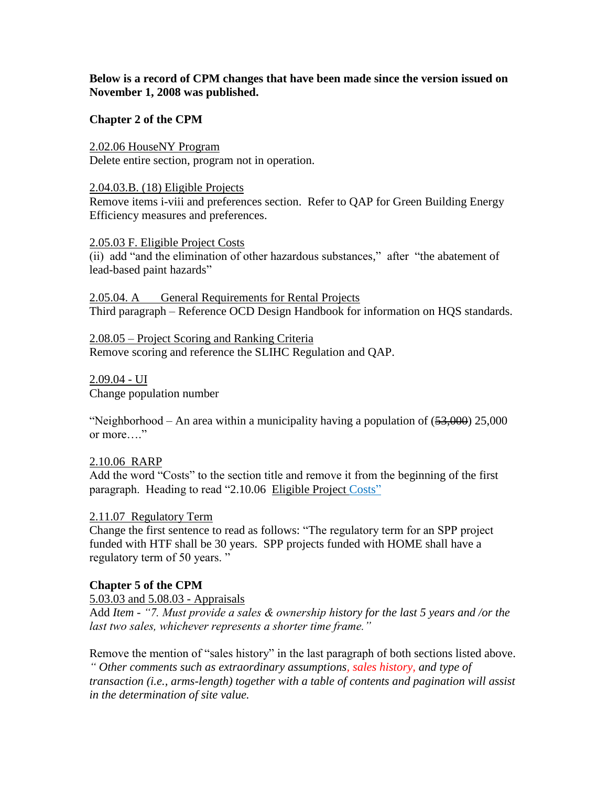### **Below is a record of CPM changes that have been made since the version issued on November 1, 2008 was published.**

### **Chapter 2 of the CPM**

2.02.06 HouseNY Program Delete entire section, program not in operation.

### 2.04.03.B. (18) Eligible Projects

Remove items i-viii and preferences section. Refer to QAP for Green Building Energy Efficiency measures and preferences.

### 2.05.03 F. Eligible Project Costs

(ii) add "and the elimination of other hazardous substances," after "the abatement of lead-based paint hazards"

2.05.04. A General Requirements for Rental Projects Third paragraph – Reference OCD Design Handbook for information on HQS standards.

2.08.05 – Project Scoring and Ranking Criteria Remove scoring and reference the SLIHC Regulation and QAP.

2.09.04 - UI Change population number

"Neighborhood – An area within a municipality having a population of  $(53,000, 25,000)$ or more…."

# 2.10.06 RARP

Add the word "Costs" to the section title and remove it from the beginning of the first paragraph. Heading to read "2.10.06 Eligible Project Costs"

### 2.11.07 Regulatory Term

Change the first sentence to read as follows: "The regulatory term for an SPP project funded with HTF shall be 30 years. SPP projects funded with HOME shall have a regulatory term of 50 years. "

# **Chapter 5 of the CPM**

5.03.03 and 5.08.03 - Appraisals

Add *Item - "7. Must provide a sales & ownership history for the last 5 years and /or the last two sales, whichever represents a shorter time frame."* 

Remove the mention of "sales history" in the last paragraph of both sections listed above. *" Other comments such as extraordinary assumptions, sales history, and type of transaction (i.e., arms-length) together with a table of contents and pagination will assist in the determination of site value.*